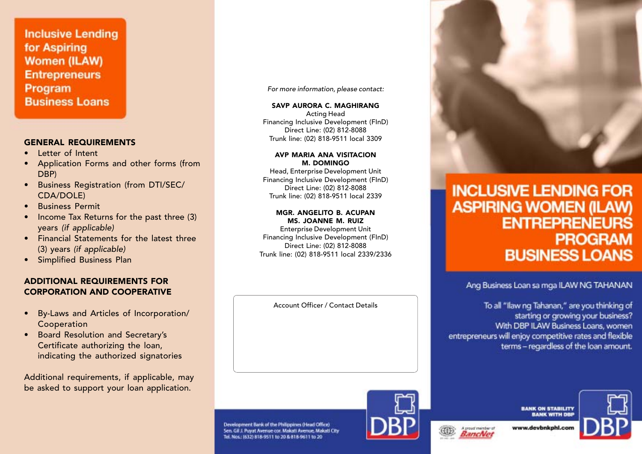**Inclusive Lending** for Aspiring **Women (ILAW) Entrepreneurs** Program **Business Loans** 

### GENERAL REQUIREMENTS

- •Letter of Intent
- Application Forms and other forms (from DBP)
- • Business Registration (from DTI/SEC/ CDA/DOLE)
- •Business Permit
- • Income Tax Returns for the past three (3) years (if applicable)
- • Financial Statements for the latest three (3) years (if applicable)
- Simplified Business Plan

### ADDITIONAL REQUIREMENTS FOR CORPORATION AND COOPERATIVE

- • By-Laws and Articles of Incorporation/ Cooperation
- • Board Resolution and Secretary's Certificate authorizing the loan, indicating the authorized signatories

Additional requirements, if applicable, may be asked to support your loan application.

For more information, please contact:

SAVP AURORA C. MAGHIRANG Acting Head Financing Inclusive Development (FInD) Direct Line: (02) 812-8088 Trunk line: (02) 818-9511 local 3309

### AVP MARIA ANA VISITACION M. DOMINGO

Head, Enterprise Development Unit Financing Inclusive Development (FInD) Direct Line: (02) 812-8088 Trunk line: (02) 818-9511 local 2339

### MGR. ANGELITO B. ACUPAN MS. JOANNE M. RUIZ

Enterprise Development Unit Financing Inclusive Development (FInD) Direct Line: (02) 812-8088 Trunk line: (02) 818-9511 local 2339/2336

Account Officer / Contact Details

Development Bank of the Philippines (Head Office)

Sen. Gil J. Puyat Avenue cor. Makati Avenue, Makati City Tel. Nos.: (632) 818-9511 to 20 & 818-9611 to 20



# **INCLUSIVE LENDING FOR ASPIRING WOMEN (ILAW) ENTREPRENEURS PROGRAM BUSINESS LOANS**

Ang Business Loan sa mga ILAW NG TAHANAN

To all "Ilaw ng Tahanan," are you thinking of starting or growing your business? With DBP ILAW Business Loans, women entrepreneurs will enjoy competitive rates and flexible terms - regardless of the loan amount.



**BANK ON STABILITY BANK WITH DBF** 

www.devbnkphl.co